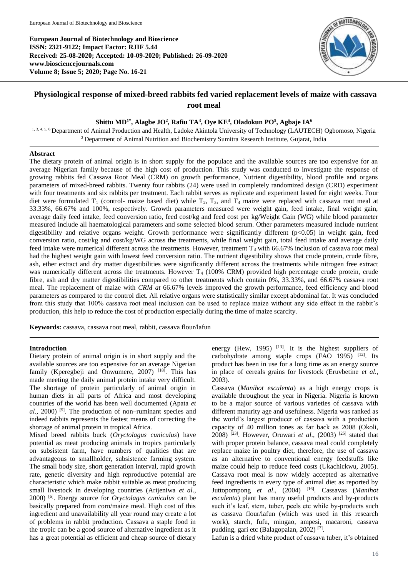**European Journal of Biotechnology and Bioscience ISSN: 2321-9122; Impact Factor: RJIF 5.44 Received: 25-08-2020; Accepted: 10-09-2020; Published: 26-09-2020 www.biosciencejournals.com Volume 8; Issue 5; 2020; Page No. 16-21**



# **Physiological response of mixed-breed rabbits fed varied replacement levels of maize with cassava root meal**

## **Shittu MD1\* , Alagbe JO<sup>2</sup> , Rafiu TA<sup>3</sup> , Oye KE<sup>4</sup> , Oladokun PO<sup>5</sup> , Agbaje IA<sup>6</sup>**

1, 3, 4, 5, 6 Department of Animal Production and Health, Ladoke Akintola University of Technology (LAUTECH) Ogbomoso, Nigeria <sup>2</sup> Department of Animal Nutrition and Biochemistry Sumitra Research Institute, Gujarat, India

### **Abstract**

The dietary protein of animal origin is in short supply for the populace and the available sources are too expensive for an average Nigerian family because of the high cost of production. This study was conducted to investigate the response of growing rabbits fed Cassava Root Meal (CRM) on growth performance, Nutrient digestibility, blood profile and organs parameters of mixed-breed rabbits. Twenty four rabbits (24) were used in completely randomized design (CRD) experiment with four treatments and six rabbits per treatment. Each rabbit serves as replicate and experiment lasted for eight weeks. Four diet were formulated  $T_1$  (control- maize based diet) while  $T_2$ ,  $T_3$ , and  $T_4$  maize were replaced with cassava root meal at 33.33%, 66.67% and 100%, respectively. Growth parameters measured were weight gain, feed intake, final weight gain, average daily feed intake, feed conversion ratio, feed cost/kg and feed cost per kg/Weight Gain (WG) while blood parameter measured include all haematological parameters and some selected blood serum. Other parameters measured include nutrient digestibility and relative organs weight. Growth performance were significantly different (p<0.05) in weight gain, feed conversion ratio, cost/kg and cost/kg/WG across the treatments, while final weight gain, total feed intake and average daily feed intake were numerical different across the treatments. However, treatment  $T_3$  with 66.67% inclusion of cassava root meal had the highest weight gain with lowest feed conversion ratio. The nutrient digestibility shows that crude protein, crude fibre, ash, ether extract and dry matter digestibilities were significantly different across the treatments while nitrogen free extract was numerically different across the treatments. However  $T_4$  (100% CRM) provided high percentage crude protein, crude fibre, ash and dry matter digestibilities compared to other treatments which contain 0%, 33.33%, and 66.67% cassava root meal. The replacement of maize with *CRM at* 66.67% levels improved the growth performance, feed efficiency and blood parameters as compared to the control diet. All relative organs were statistically similar except abdominal fat. It was concluded from this study that 100% cassava root meal inclusion can be used to replace maize without any side effect in the rabbit's production, this help to reduce the cost of production especially during the time of maize scarcity.

**Keywords:** cassava, cassava root meal, rabbit, cassava flour/lafun

# **Introduction**

Dietary protein of animal origin is in short supply and the available sources are too expensive for an average Nigerian family (Kperegbeji and Onwumere, 2007)<sup>[18]</sup>. This has made meeting the daily animal protein intake very difficult. The shortage of protein particularly of animal origin in human diets in all parts of Africa and most developing countries of the world has been well documented (Apata *et*  al., 2000)<sup>[5]</sup>. The production of non–ruminant species and indeed rabbits represents the fastest means of correcting the shortage of animal protein in tropical Africa.

Mixed breed rabbits buck (*Oryctolagus cuniculus*) have potential as meat producing animals in tropics particularly on subsistent farm, have numbers of qualities that are advantageous to smallholder, subsistence farming system. The small body size, short generation interval, rapid growth rate, genetic diversity and high reproductive potential are characteristic which make rabbit suitable as meat producing small livestock in developing countries (Arijeniwa *et al*., 2000) [6] . Energy source for *Oryctolagus cuniculus* can be basically prepared from corn/maize meal. High cost of this ingredient and unavailability all year round may create a lot of problems in rabbit production. Cassava a staple food in the tropic can be a good source of alternative ingredient as it has a great potential as efficient and cheap source of dietary

energy (Hew, 1995)  $^{[13]}$ . It is the highest suppliers of carbohydrate among staple crops  $(FAO 1995)$ <sup>[12]</sup>. Its product has been in use for a long time as an energy source in place of cereals grains for livestock (Eruvbetine *et al*., 2003).

Cassava (*Manihot esculenta*) as a high energy crops is available throughout the year in Nigeria. Nigeria is known to be a major source of various varieties of cassava with different maturity age and usefulness. Nigeria was ranked as the world's largest producer of cassava with a production capacity of 40 million tones as far back as 2008 (Okoli, 2008) [23] . However, Oruwari *et al*., (2003) [25] stated that with proper protein balance, cassava meal could completely replace maize in poultry diet, therefore, the use of cassava as an alternative to conventional energy feedstuffs like maize could help to reduce feed costs (Ukachickwu, 2005). Cassava root meal is now widely accepted as alternative feed ingredients in every type of animal diet as reported by Juttopompong et al., (2004) <sup>[16]</sup>. Cassavas (Manihot *esculenta*) plant has many useful products and by-products such it's leaf, stem, tuber, peels etc while by-products such as cassava flour/lafun (which was used in this research work), starch, fufu, mingao, ampesi, macaroni, cassava pudding, gari etc (Balagopalan, 2002)<sup>[7]</sup>.

Lafun is a dried white product of cassava tuber, it's obtained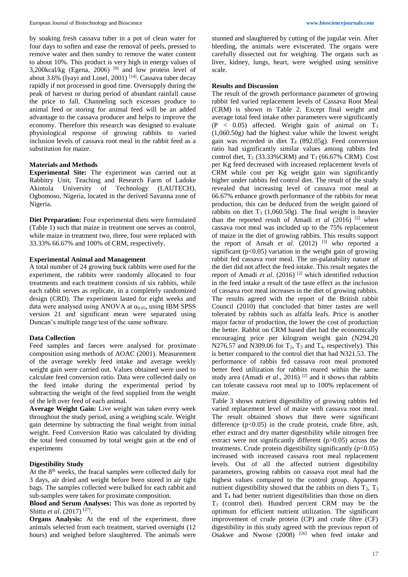by soaking fresh cassava tuber in a pot of clean water for four days to soften and ease the removal of peels, pressed to remove water and then sundry to remove the water content to about 10%. This product is very high in energy values of 3,200 $kcal/kg$  (Egena, 2006)<sup>[9]</sup> and low protein level of about 3.6% (Iyayi and Losel, 2001)  $[14]$ . Cassava tuber decay rapidly if not processed in good time. Oversupply during the peak of harvest or during period of abundant rainfall cause the price to fall. Channeling such excesses produce to animal feed or storing for animal feed will be an added advantage to the cassava producer and helps to improve the economy. Therefore this research was designed to evaluate physiological response of growing rabbits to varied inclusion levels of cassava root meal in the rabbit feed as a substitution for maize.

#### **Materials and Methods**

**Experimental Site:** The experiment was carried out at Rabbitry Unit, Teaching and Research Farm of Ladoke Akintola University of Technology (LAUTECH), Ogbomoso, Nigeria, located in the derived Savanna zone of Nigeria.

**Diet Preparation:** Four experimental diets were formulated (Table 1) such that maize in treatment one serves as control, while maize in treatment two, three, four were replaced with 33.33% 66.67% and 100% of CRM, respectively.

#### **Experimental Animal and Management**

A total number of 24 growing buck rabbits were used for the experiment, the rabbits were randomly allocated to four treatments and each treatment consists of six rabbits, while each rabbit serves as replicate, in a completely randomized design (CRD). The experiment lasted for eight weeks and data were analysed using ANOVA at  $\alpha_{0.05}$ , using IBM SPSS version 21 and significant mean were separated using Duncan's multiple range test of the same software.

#### **Data Collection**

Feed samples and faeces were analysed for proximate composition using methods of AOAC (2001). Measurement of the average weekly feed intake and average weekly weight gain were carried out. Values obtained were used to calculate feed conversion ratio. Data were collected daily on the feed intake during the experimental period by subtracting the weight of the feed supplied from the weight of the left over feed of each animal.

**Average Weight Gain:** Live weight was taken every week throughout the study period, using a weighing scale. Weight gain determine by subtracting the final weight from initial weight. Feed Conversion Ratio was calculated by dividing the total feed consumed by total weight gain at the end of experiments

## **Digestibility Study**

At the 8<sup>th</sup> weeks, the feacal samples were collected daily for 3 days, air dried and weight before been stored in air tight bags. The samples collected were bulked for each rabbit and sub-samples were taken for proximate composition.

**Blood and Serum Analyses:** This was done as reported by Shittu *et al*. (2017) [27] .

**Organs Analysis:** At the end of the experiment, three animals selected from each treatment, starved overnight (12 hours) and weighed before slaughtered. The animals were

stunned and slaughtered by cutting of the jugular vein. After bleeding, the animals were eviscerated. The organs were carefully dissected out for weighing. The organs such as liver, kidney, lungs, heart, were weighed using sensitive scale.

#### **Results and Discussion**

The result of the growth performance parameter of growing rabbit fed varied replacement levels of Cassava Root Meal (CRM) is shown in Table 2. Except final weight and average total feed intake other parameters were significantly  $(P < 0.05)$  affected. Weight gain of animal on  $T_3$ (1,060.50g) had the highest value while the lowest weight gain was recorded in diet  $T_4$  (892.05g). Feed conversion ratio had significantly similar values among rabbits fed control diet,  $T_2$  (33.33%CRM) and  $T_3$  (66.67% CRM). Cost per Kg feed decreased with increased replacement levels of CRM while cost per Kg weight gain was significantly higher under rabbits fed control diet. The result of the study revealed that increasing level of cassava root meal at 66.67% enhance growth performance of the rabbits for meat production, this can be deduced from the weight gained of rabbits on diet  $T_3$  (1,060.50g). The final weight is heavier than the reported result of Amadi *et al* (2016) [2] when cassava root meal was included up to the 75% replacement of maize in the diet of growing rabbits. This results support the report of Ansah *et al.*  $(2012)$  <sup>[3]</sup> who reported a significant ( $p<0.05$ ) variation in the weight gain of growing rabbit fed cassava root meal. The un-palatability nature of the diet did not affect the feed intake. This result negates the report of Amadi *et al*. (2016) [2] which identified reduction in the feed intake a result of the taste effect as the inclusion of cassava root meal increases in the diet of growing rabbits. The results agreed with the report of the British rabbit Council (2010) that concluded that bitter tastes are well tolerated by rabbits such as alfalfa leafs. Price is another major factor of production, the lower the cost of production the better. Rabbit on CRM based diet had the economically encouraging price per kilogram weight gain (N294.20 N276.57 and N309.06 for  $T_2$ ,  $T_3$  and  $T_4$ , respectively). This is better compared to the control diet that had N321.53. The performance of rabbis fed cassava root meal promoted better feed utilization for rabbits reared within the same study area (Amadi *et al.*, 2016)<sup>[2]</sup> and it shows that rabbits can tolerate cassava root meal up to 100% replacement of maize.

Table 3 shows nutrient digestibility of growing rabbits fed varied replacement level of maize with cassava root meal. The result obtained shows that there were significant difference  $(p<0.05)$  in the crude protein, crude fibre, ash, ether extract and dry matter digestibility while nitrogen free extract were not significantly different (p>0.05) across the treatments. Crude protein digestibility significantly  $(p<0.05)$ increased with increased cassava root meal replacement levels. Out of all the affected nutrient digestibility parameters, growing rabbits on cassava root meal had the highest values compared to the control group. Apparent nutrient digestibility showed that the rabbits on diets  $T_2$ ,  $T_3$ and  $T_4$  had better nutrient digestibilities than those on diets  $T_1$  (control diet). Hundred percent CRM may be the optimum for efficient nutrient utilization. The significant improvement of crude protein (CP) and crude fibre (CF) digestibility in this study agreed with the previous report of Osakwe and Nwose  $(2008)$  <sup>[26]</sup> when feed intake and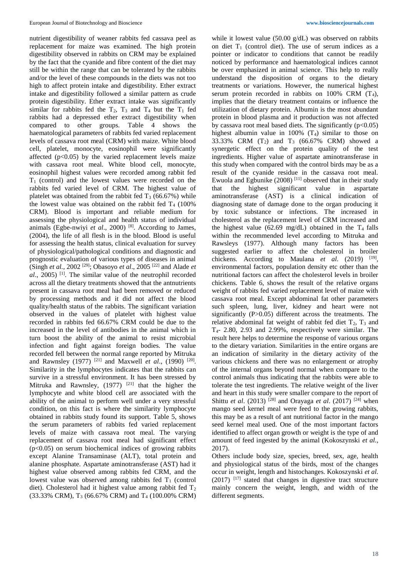nutrient digestibility of weaner rabbits fed cassava peel as replacement for maize was examined. The high protein digestibility observed in rabbits on CRM may be explained by the fact that the cyanide and fibre content of the diet may still be within the range that can be tolerated by the rabbits and/or the level of these compounds in the diets was not too high to affect protein intake and digestibility. Ether extract intake and digestibility followed a similar pattern as crude protein digestibility. Ether extract intake was significantly similar for rabbits fed the  $T_2$ ,  $T_3$  and  $T_4$  but the  $T_1$  fed rabbits had a depressed ether extract digestibility when compared to other groups. Table 4 shows the haematological parameters of rabbits fed varied replacement levels of cassava root meal (CRM) with maize. White blood cell, platelet, monocyte, eosinophil were significantly affected  $(p<0.05)$  by the varied replacement levels maize with cassava root meal. White blood cell, monocyte, eosinophil highest values were recorded among rabbit fed  $T_1$  (control) and the lowest values were recorded on the rabbits fed varied level of CRM. The highest value of platelet was obtained from the rabbit fed  $T_3$  (66.67%) while the lowest value was obtained on the rabbit fed  $T_4$  (100%) CRM). Blood is important and reliable medium for assessing the physiological and health status of individual animals (Egbe-nwiyi *et al*., 2000) [8] . According to James, (2004), the life of all flesh is in the blood. Blood is useful for assessing the health status, clinical evaluation for survey of physiological/pathological conditions and diagnostic and prognostic evaluation of various types of diseases in animal (Singh *et al.,* 2002 [29] ; Obasoyo *et al*., 2005 [22] and Alade *et al*., 2005) [1] . The similar value of the neutrophil recorded across all the dietary treatments showed that the antnutrients present in cassava root meal had been removed or reduced by processing methods and it did not affect the blood quality/health status of the rabbits. The significant variation observed in the values of platelet with highest value recorded in rabbits fed 66.67% CRM could be due to the increased in the level of antibodies in the animal which in turn boost the ability of the animal to resist microbial infection and fight against foreign bodies. The value recorded fell between the normal range reported by Mitruka and Rawnsley (1977)<sup>[21]</sup> and Maxwell *et al.*, (1990)<sup>[20]</sup>. Similarity in the lymphocytes indicates that the rabbits can survive in a stressful environment. It has been stressed by Mitruka and Rawnsley,  $(1977)$  <sup>[21]</sup> that the higher the lymphocyte and white blood cell are associated with the ability of the animal to perform well under a very stressful condition, on this fact is where the similarity lymphocyte obtained in rabbits study found its support. Table 5, shows the serum parameters of rabbits fed varied replacement levels of maize with cassava root meal. The varying replacement of cassava root meal had significant effect  $(p<0.05)$  on serum biochemical indices of growing rabbits except Alanine Transaminase (ALT), total protein and alanine phosphate. Aspartate aminotransferase (AST) had it highest value observed among rabbits fed CRM, and the lowest value was observed among rabbits fed  $T_1$  (control diet). Cholesterol had it highest value among rabbit fed  $T_2$ (33.33% CRM), T<sup>3</sup> (66.67% CRM) and T<sup>4</sup> (100.00% CRM)

while it lowest value (50.00 g/dL) was observed on rabbits on diet  $T_1$  (control diet). The use of serum indices as a pointer or indicator to conditions that cannot be readily noticed by performance and haematological indices cannot be over emphasized in animal science. This help to really understand the disposition of organs to the dietary treatments or variations. However, the numerical highest serum protein recorded in rabbits on  $100\%$  CRM  $(T_4)$ , implies that the dietary treatment contains or influence the utilization of dietary protein. Albumin is the most abundant protein in blood plasma and it production was not affected by cassava root meal based diets. The significantly  $(p<0.05)$ highest albumin value in  $100\%$  (T<sub>4</sub>) similar to those on 33.33% CRM  $(T_2)$  and  $T_3$  (66.67% CRM) showed a synergetic effect on the protein quality of the test ingredients. Higher value of aspartate aminotransferase in this study when compared with the control birds may be as a result of the cyanide residue in the cassava root meal. Ewuola and Egbunike  $(2008)$ <sup>[11]</sup> observed that in their study that the highest significant value in aspartate aminotransferase (AST) is a clinical indication of diagnosing state of damage done to the organ producing it by toxic substance or infections. The increased in cholesterol as the replacement level of CRM increased and the highest value (62.69 mg/dL) obtained in the  $T_4$  falls within the recommended level according to Mitruka and Rawsleys (1977). Although many factors has been suggested earlier to affect the cholesterol in broiler chickens. According to Maulana et al. (2019) <sup>[19]</sup>, environmental factors, population density etc other than the nutritional factors can affect the cholesterol levels in broiler chickens. Table 6, shows the result of the relative organs weight of rabbits fed varied replacement level of maize with cassava root meal. Except abdominal fat other parameters such spleen, lung, liver, kidney and heart were not significantly (P>0.05) different across the treatments. The relative abdominal fat weight of rabbit fed diet  $T_2$ ,  $T_3$  and T4- 2.80, 2.93 and 2.99%, respectively were similar. The result here helps to determine the response of various organs to the dietary variation. Similarities in the entire organs are an indication of similarity in the dietary activity of the various chickens and there was no enlargement or atrophy of the internal organs beyond normal when compare to the control animals thus indicating that the rabbits were able to tolerate the test ingredients. The relative weight of the liver and heart in this study were smaller compare to the report of Shittu *et al.* (2013)<sup>[28]</sup> and Orayaga *et al.* (2017)<sup>[24]</sup> when mango seed kernel meal were feed to the growing rabbits, this may be as a result of ant nutritional factor in the mango seed kernel meal used. One of the most important factors identified to affect organ growth or weight is the type of and amount of feed ingested by the animal (Kokoszynski *et al*., 2017).

Others include body size, species, breed, sex, age, health and physiological status of the birds, most of the changes occur in weight, length and histochanges. Kokoszynski *et al*.  $(2017)$ <sup>[17]</sup> stated that changes in digestive tract structure mainly concern the weight, length, and width of the different segments.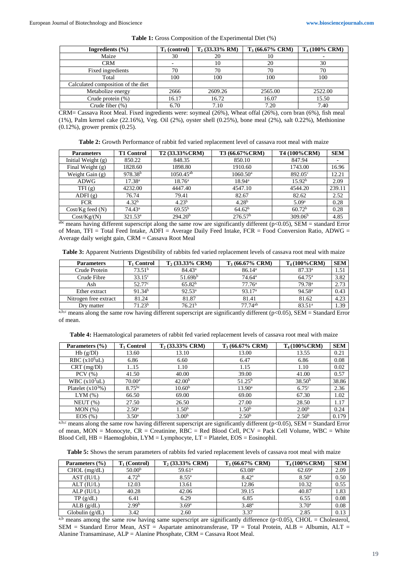|  |  | <b>Table 1:</b> Gross Composition of the Experimental Diet (%) |  |
|--|--|----------------------------------------------------------------|--|
|--|--|----------------------------------------------------------------|--|

| Ingredients $(\% )$                | $T_1$ (control) | $T_2$ (33.33% RM) | $T_3(66.67\% \text{ CRM})$ | T <sub>4</sub> (100% CRM) |
|------------------------------------|-----------------|-------------------|----------------------------|---------------------------|
| Maize                              | 30              | 20                | 10                         |                           |
| <b>CRM</b>                         | -               | 10                | 20                         | 30                        |
| Fixed ingredients                  | 70              | 70                | 70                         | 70                        |
| Total                              | 100             | 100               | 100                        | 100                       |
| Calculated composition of the diet |                 |                   |                            |                           |
| Metabolize energy                  | 2666            | 2609.26           | 2565.00                    | 2522.00                   |
| Crude protein (%)                  | 16.17           | 16.72             | 16.07                      | 15.50                     |
| Crude fiber $(\%)$                 | 6.70            | 7.10              | 7.20                       | 7.40                      |

CRM= Cassava Root Meal. Fixed ingredients were: soymeal (26%), Wheat offal (26%), corn bran (6%), fish meal (1%), Palm kernel cake (22.16%), Veg. Oil (2%), oyster shell (0.25%), bone meal (2%), salt 0.22%), Methionine (0.12%), grower premix (0.25).

**Table 2:** Growth Performance of rabbit fed varied replacement level of cassava root meal with maize

| <b>Parameters</b>    | <b>T1 Control</b>   | T2 (33.33% CRM)     | T3 (66.67%CRM)      | T4 (100% CRM)       | <b>SEM</b> |
|----------------------|---------------------|---------------------|---------------------|---------------------|------------|
| Initial Weight $(g)$ | 850.22              | 848.35              | 850.10              | 847.94              |            |
| Final Weight $(g)$   | 1828.60             | 1898.80             | 1910.60             | 1743.00             | 16.96      |
| Weight Gain $(g)$    | 978.38 <sup>b</sup> | $1050.45^{ab}$      | $1060.50^{\circ}$   | $892.05^{\circ}$    | 12.21      |
| ADWG                 | $17.38^{a}$         | $18.76^{\rm a}$     | $18.94^{\circ}$     | 15.92 <sup>b</sup>  | 2.09       |
| TFI(g)               | 4232.00             | 4447.40             | 4547.10             | 4544.20             | 239.11     |
| ADFI(g)              | 76.74               | 79.41               | 82.67               | 82.62               | 2.52       |
| <b>FCR</b>           | 4.32 <sup>b</sup>   | 4.23 <sup>b</sup>   | 4.28 <sup>b</sup>   | 5.09 <sup>a</sup>   | 0.28       |
| $Cost/Kg$ feed $(N)$ | $74.43^{\circ}$     | $69.55^{b}$         | 64.62 <sup>b</sup>  | 60.72 <sup>b</sup>  | 0.28       |
| Cost/Kg/(N)          | $321.53^a$          | 294.20 <sup>b</sup> | 276.57 <sup>b</sup> | 309.06 <sup>b</sup> | 4.85       |

 $a<sup>abc</sup>$  means having different superscript along the same row are significantly different (p<0.05), SEM = standard Error of Mean, TFI = Total Feed Intake, ADFI = Average Daily Feed Intake, FCR = Food Conversion Ratio, ADWG = Average daily weight gain, CRM = Cassava Root Meal

**Table 3:** Apparent Nutrients Digestibility of rabbits fed varied replacement levels of cassava root meal with maize

| <b>Parameters</b>     | T1 Control         | $T_2$ (33.33% CRM) | $T_3(66.67\% \text{ CRM})$ | $T_4(100\% \text{CRM})$ | <b>SEM</b> |
|-----------------------|--------------------|--------------------|----------------------------|-------------------------|------------|
| Crude Protein         | 73.51 <sup>b</sup> | $84.43^{\rm a}$    | 86.14 <sup>a</sup>         | $87.33^a$               | 1.51       |
| Crude Fibre           | $33.15^{\circ}$    | 51.69 <sup>b</sup> | 74.64 <sup>a</sup>         | $64.75^{\rm a}$         | 3.82       |
| Ash                   | 52.77 <sup>c</sup> | 65.82 <sup>b</sup> | $77.76^{\rm a}$            | 79.78 <sup>a</sup>      | 2.73       |
| Ether extract         | 91.34 <sup>b</sup> | $92.53^{\rm a}$    | 93.17 <sup>a</sup>         | 94.58 <sup>a</sup>      | 0.43       |
| Nitrogen free extract | 81.24              | 81.87              | 81.41                      | 81.62                   | 4.23       |
| Drv matter            | 71.23 <sup>b</sup> | 76.21 <sup>b</sup> | $77.74^{ab}$               | 83.51 <sup>a</sup>      | 1.39       |

a,b,c means along the same row having different superscript are significantly different ( $p$ <0.05), SEM = Standard Error of mean.

|  |  | <b>Table 4:</b> Haematological parameters of rabbit fed varied replacement levels of cassava root meal with maize |  |
|--|--|-------------------------------------------------------------------------------------------------------------------|--|
|  |  |                                                                                                                   |  |

| Parameters (%)       | T <sub>1</sub> Control | $T2$ (33.33% CRM)  | $T_3(66.67\% \text{ CRM})$ | $T_4(100\% \text{CRM})$ | <b>SEM</b> |
|----------------------|------------------------|--------------------|----------------------------|-------------------------|------------|
| Hb(g/Dl)             | 13.60                  | 13.10              | 13.00                      | 13.55                   | 0.21       |
| RBC $(x106uL)$       | 6.86                   | 6.60               | 6.47                       | 6.86                    | 0.08       |
| CRT (mg/Dl)          | 1.15                   | 1.10               | 1.15                       | 1.10                    | 0.02       |
| $PCV$ $(\% )$        | 41.50                  | 40.00              | 39.00                      | 41.00                   | 0.57       |
| WBC $(x10^3uL)$      | $70.00^{\rm a}$        | 42.00 <sup>b</sup> | $51.25^{\rm b}$            | 38.50 <sup>b</sup>      | 38.86      |
| Platelet $(x10^3\%)$ | 8.75 <sup>bc</sup>     | 10.60 <sup>b</sup> | $13.90^{\rm a}$            | 6.75 <sup>c</sup>       | 2.36       |
| $LYM(\%)$            | 66.50                  | 69.00              | 69.00                      | 67.30                   | 1.02       |
| NEUT(%)              | 27.50                  | 26.50              | 27.00                      | 28.50                   | 1.17       |
| MON(%)               | $2.50^{\rm a}$         | 1.50 <sup>b</sup>  | 1.50 <sup>b</sup>          | 2.00 <sup>b</sup>       | 0.24       |
| EOS (%)              | $3.50^{\circ}$         | 3.00 <sup>b</sup>  | 2.50 <sup>b</sup>          | 2.50 <sup>b</sup>       | 0.179      |

a,b,c means along the same row having different superscript are significantly different ( $p$ <0.05), SEM = Standard Error of mean, MON = Monocyte, CR = Creatinine, RBC = Red Blood Cell, PCV = Pack Cell Volume, WBC = White Blood Cell, HB = Haemoglobin, LYM = Lymphocyte, LT = Platelet, EOS = Eosinophil.

**Table 5:** Shows the serum parameters of rabbits fed varied replacement levels of cassava root meal with maize

| Parameters (%)    | $T_1$ (Control)    | $T_2$ (33.33% CRM) | $T_3(66.67\% \text{ CRM})$ | $T_4(100\% \text{CRM})$ | <b>SEM</b> |
|-------------------|--------------------|--------------------|----------------------------|-------------------------|------------|
| $CHOL$ (mg/dL)    | 50.00 <sup>b</sup> | $59.61^{\circ}$    | 63.08 <sup>a</sup>         | 62.69 <sup>a</sup>      | 2.09       |
| AST (IU/L)        | 4.72 <sup>b</sup>  | $8.55^{\rm a}$     | $8.42^{\rm a}$             | 8.50 <sup>a</sup>       | 0.50       |
| ALT (IU/L)        | 12.03              | 13.61              | 12.86                      | 10.32                   | 0.55       |
| $ALP$ ( $IU/L$ )  | 40.28              | 42.06              | 39.15                      | 40.87                   | 1.83       |
| TP(g/dL)          | 6.41               | 6.29               | 6.85                       | 6.55                    | 0.08       |
| ALB(g/dL)         | 2.99 <sup>b</sup>  | 3.69 <sup>a</sup>  | 3.48 <sup>a</sup>          | 3.70 <sup>a</sup>       | 0.08       |
| Globulin $(g/dL)$ | 3.42               | 2.60               | 3.37                       | 2.85                    | 0.13       |

a,b means among the same row having same superscript are significantly difference ( $p$ <0.05), CHOL = Cholesterol, SEM = Standard Error Mean, AST = Aspartate aminotransferase, TP = Total Protein, ALB = Albumin, ALT = Alanine Transaminase, ALP = Alanine Phosphate, CRM = Cassava Root Meal.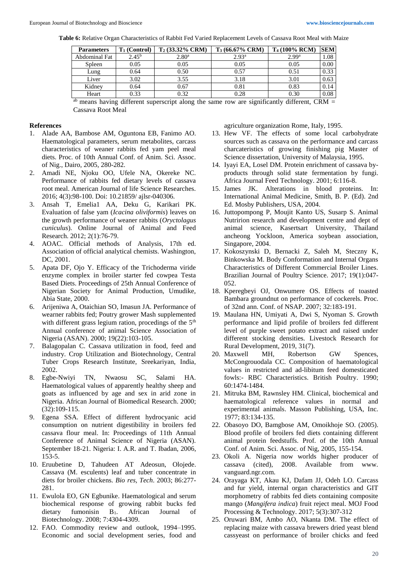**Table 6:** Relative Organ Characteristics of Rabbit Fed Varied Replacement Levels of Cassava Root Meal with Maize

| <b>Parameters</b> | T <sub>1</sub> (Control) | $T_2$ (33.32% CRM) | $T_3(66.67\% \text{ CRM})$ | T <sub>4</sub> (100% RCM) | <b>SEM</b> |
|-------------------|--------------------------|--------------------|----------------------------|---------------------------|------------|
| Abdominal Fat     | $2.45^{b}$               | 2.80 <sup>a</sup>  | 2.93 <sup>a</sup>          | 2.99 <sup>a</sup>         | 1.08       |
| Spleen            | 0.05                     | 0.05               | 0.05                       | 0.05                      | 0.00       |
| Lung              | 0.64                     | 0.50               | 0.57                       | 0.51                      | 0.33       |
| Liver             | 3.02                     | 3.55               | 3.18                       | 3.01                      | 0.63       |
| Kidney            | 0.64                     | 0.67               | 0.81                       | 0.83                      | 0.14       |
| Heart             | 0.33                     | 0.32               | 0.28                       | 0.30                      | 0.08       |

<sup>ab</sup> means having different superscript along the same row are significantly different, CRM = Cassava Root Meal

## **References**

- 1. Alade AA, Bambose AM, Oguntona EB, Fanimo AO. Haematological parameters, serum metabolites, carcass characteristics of weaner rabbits fed yam peel meal diets. Proc. of 10th Annual Conf. of Anim. Sci. Assoc. of Nig., Dairo, 2005, 280-282.
- 2. Amadi NE, Njoku OO, Ufele NA, Okereke NC. Performance of rabbits fed dietary levels of cassava root meal. American Journal of life Science Researches. 2016; 4(3):98-100. Doi: 10.21859/ ajlsr-040306.
- 3. Ansah T, Emelia1 AA, Deku G, Karikari PK. Evaluation of false yam (*Icacina oliviformis*) leaves on the growth performance of weaner rabbits (*Oryctolagus cuniculus*). Online Journal of Animal and Feed Research. 2012; 2(1):76-79.
- 4. AOAC. Official methods of Analysis, 17th ed. Association of official analytical chemists. Washington, DC, 2001.
- 5. Apata DF, Ojo Y. Efficacy of the Trichoderma viride enzyme complex in broiler starter fed cowpea Testa Based Diets. Proceedings of 25th Annual Conference of Nigerian Society for Animal Production, Umudike, Abia State, 2000.
- 6. Arijeniwa A, Otaichian SO, Imasun JA. Performance of wearner rabbits fed; Poutry grower Mash supplemented with different grass legium ration, procedings of the  $5<sup>th</sup>$ Annual conference of animal Science Association of Nigeria (ASAN). 2000; 19(22):103-105.
- 7. Balagopalan C. Cassava utilization in food, feed and industry. Crop Utilization and Biotechnology, Central Tuber Crops Research Institute, Sreekariyan, India, 2002.
- 8. Egbe-Nwiyi TN, Nwaosu SC, Salami HA. Haematological values of apparently healthy sheep and goats as influenced by age and sex in arid zone in Nigeria. African Journal of Biomedical Research. 2000; (32):109-115.
- 9. Egena SSA. Effect of different hydrocyanic acid consumption on nutrient digestibility in broilers fed cassava flour meal. In: Proceedings of 11th Annual Conference of Animal Science of Nigeria (ASAN). September 18-21. Nigeria: I. A.R. and T. Ibadan, 2006, 153-5.
- 10. Eruubetine D, Tahudeen AT Adeosun, Olojede. Cassava (M. esculents) leaf and tuber concentrate in diets for broiler chickens. *Bio res, Tech*. 2003; 86:277- 281.
- 11. Ewulola EO, GN Egbunike. Haematological and serum biochemical response of growing rabbit bucks fed dietary fumonisin B1. African Journal of Biotechnology. 2008; 7:4304-4309.
- 12. FAO. Commodity review and outlook, 1994–1995. Economic and social development series, food and

agriculture organization Rome, Italy, 1995.

- 13. Hew VF. The effects of some local carbohydrate sources such as cassava on the performance and carcass charcateristics of growing finishing pig Master of Science dissertation, University of Malaysia, 1995.
- 14. Iyayi EA, Losel DM. Protein enrichment of cassava byproducts through solid state fermentation by fungi. Africa Journal Feed Technology. 2001; 6:116-8.
- 15. James JK. Alterations in blood proteins. In: International Animal Medicine, Smith, B. P. (Ed). 2nd Ed. Mosby Publishers, USA, 2004.
- 16. Juttopompong P, Moujit Kanto US, Susarp S. Animal Nutririon research and development centre and dept of animal science, Kasertsart University, Thailand ancheong Yockloon, America soybean association, Singapore, 2004.
- 17. Kokoszynski D, Bernacki Z, Saleh M, Steczny K, Binkowska M. Body Conformation and Internal Organs Characteristics of Different Commercial Broiler Lines. Brazilian Journal of Poultry Science. 2017; 19(1):047- 052.
- 18. Kperegbeyi OJ, Onwumere OS. Effects of toasted Bambara groundnut on performance of cockerels. Proc. of 32nd ann. Conf. of NSAP. 2007; 32:183-191.
- 19. Maulana HN, Umiyati A, Dwi S, Nyoman S. Growth performance and lipid profile of broilers fed different level of purple sweet potato extract and raised under different stocking densities. Livestock Research for Rural Development, 2019, 31(7).
- 20. Maxwell MH, Robertson GW Spences, McCongrouodala CC. Composition of haematological values in restricted and ad-libitum feed domesticated fowls:- RBC Characteristics. British Poultry. 1990; 60:1474-1484.
- 21. Mitruka BM, Rawnsley HM. Clinical, biochemical and haematological reference values in normal and experimental animals. Masson Publishing, USA, Inc. 1977; 83:134-135.
- 22. Obasoyo DO, Bamgbose AM, Omoikhoje SO. (2005). Blood profile of broilers fed diets containing different animal protein feedstuffs. Prof. of the 10th Annual Conf. of Anim. Sci. Assoc. of Nig, 2005, 155-154.
- 23. Okoli A. Nigeria now worlds higher producer of cassava (cited), 2008. Available from www. vanguard.ngr.com.
- 24. Orayaga KT, Akau KJ, Dafam JJ, Odeh LO. Carcass and fur yield, internal organ characteristics and GIT morphometry of rabbits fed diets containing composite mango (*Mangifera indica*) fruit reject meal. MOJ Food Processing & Technology. 2017; 5(3):307-312
- 25. Oruwari BM, Ambo AO, Nkanta DM. The effect of replacing maize with cassava brewers dried yeast blend cassyeast on performance of broiler chicks and feed